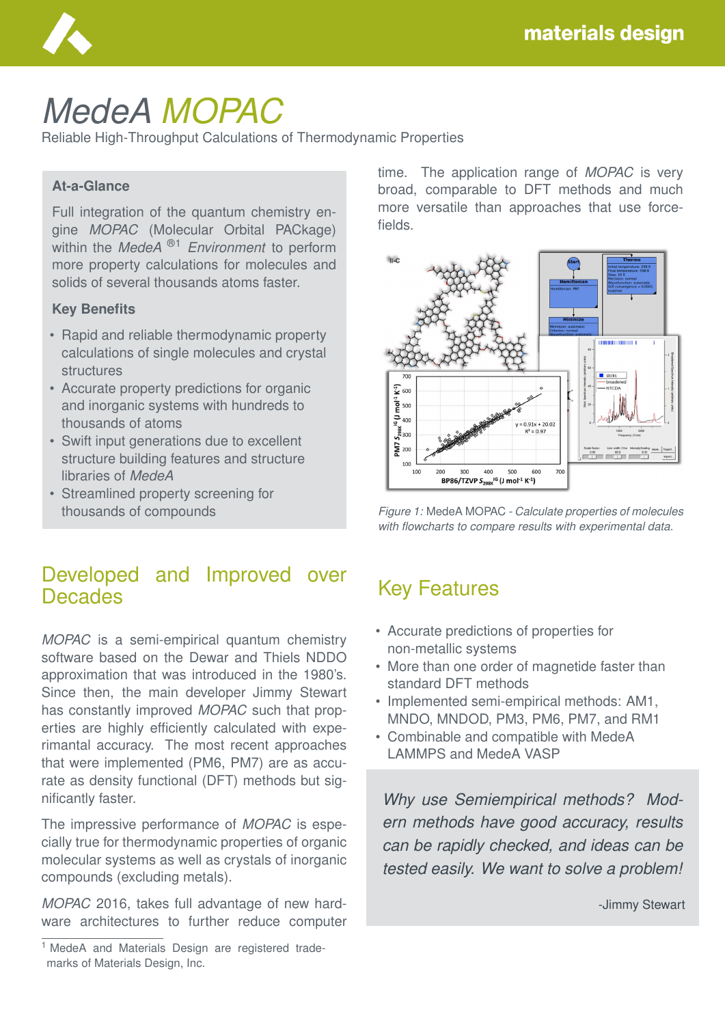

# *MedeA MOPAC*

Reliable High-Throughput Calculations of Thermodynamic Properties

#### **At-a-Glance**

Full integration of the quantum chemistry engine *MOPAC* (Molecular Orbital PACkage) within the *MedeA* ®1 *Environment* to perform more property calculations for molecules and solids of several thousands atoms faster.

#### **Key Benefits**

- Rapid and reliable thermodynamic property calculations of single molecules and crystal structures
- Accurate property predictions for organic and inorganic systems with hundreds to thousands of atoms
- Swift input generations due to excellent structure building features and structure libraries of *MedeA*
- Streamlined property screening for thousands of compounds

#### Developed and Improved over **Decades**

*MOPAC* is a semi-empirical quantum chemistry software based on the Dewar and Thiels NDDO approximation that was introduced in the 1980's. Since then, the main developer Jimmy Stewart has constantly improved *MOPAC* such that properties are highly efficiently calculated with experimantal accuracy. The most recent approaches that were implemented (PM6, PM7) are as accurate as density functional (DFT) methods but significantly faster.

The impressive performance of *MOPAC* is especially true for thermodynamic properties of organic molecular systems as well as crystals of inorganic compounds (excluding metals).

*MOPAC* 2016, takes full advantage of new hardware architectures to further reduce computer time. The application range of *MOPAC* is very broad, comparable to DFT methods and much more versatile than approaches that use forcefields.





#### Key Features

- Accurate predictions of properties for non-metallic systems
- More than one order of magnetide faster than standard DFT methods
- Implemented semi-empirical methods: AM1, MNDO, MNDOD, PM3, PM6, PM7, and RM1
- Combinable and compatible with MedeA LAMMPS and MedeA VASP

*Why use Semiempirical methods? Modern methods have good accuracy, results can be rapidly checked, and ideas can be tested easily. We want to solve a problem!*

-Jimmy Stewart

<sup>&</sup>lt;sup>1</sup> MedeA and Materials Design are registered trademarks of Materials Design, Inc.